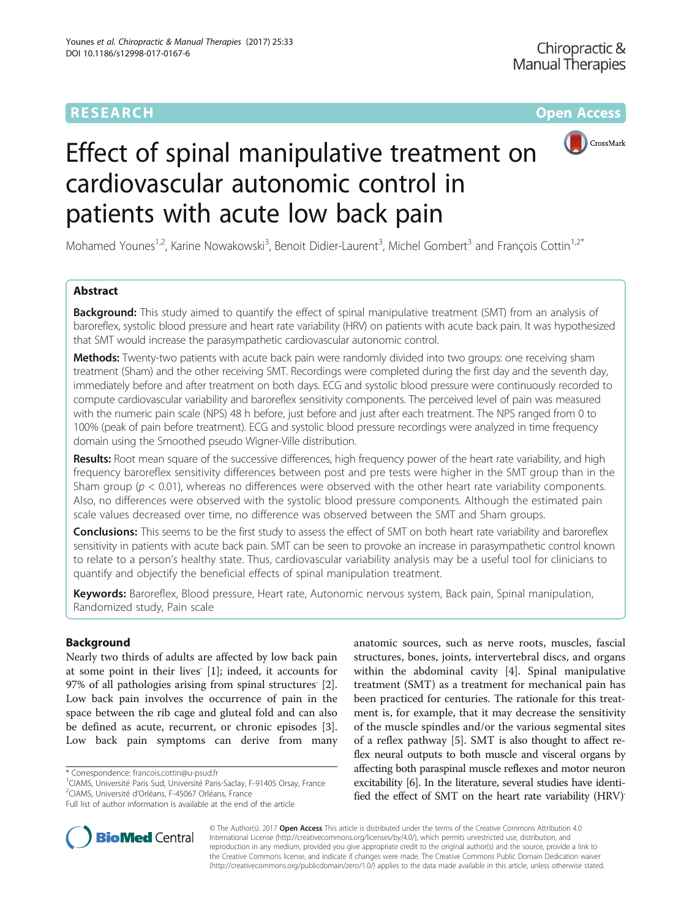# **RESEARCH CHE Open Access**



# Effect of spinal manipulative treatment on cardiovascular autonomic control in patients with acute low back pain

Mohamed Younes<sup>1,2</sup>, Karine Nowakowski<sup>3</sup>, Benoit Didier-Laurent<sup>3</sup>, Michel Gombert<sup>3</sup> and François Cottin<sup>1,2\*</sup>

# Abstract

**Background:** This study aimed to quantify the effect of spinal manipulative treatment (SMT) from an analysis of baroreflex, systolic blood pressure and heart rate variability (HRV) on patients with acute back pain. It was hypothesized that SMT would increase the parasympathetic cardiovascular autonomic control.

Methods: Twenty-two patients with acute back pain were randomly divided into two groups: one receiving sham treatment (Sham) and the other receiving SMT. Recordings were completed during the first day and the seventh day, immediately before and after treatment on both days. ECG and systolic blood pressure were continuously recorded to compute cardiovascular variability and baroreflex sensitivity components. The perceived level of pain was measured with the numeric pain scale (NPS) 48 h before, just before and just after each treatment. The NPS ranged from 0 to 100% (peak of pain before treatment). ECG and systolic blood pressure recordings were analyzed in time frequency domain using the Smoothed pseudo Wigner-Ville distribution.

Results: Root mean square of the successive differences, high frequency power of the heart rate variability, and high frequency baroreflex sensitivity differences between post and pre tests were higher in the SMT group than in the Sham group ( $p < 0.01$ ), whereas no differences were observed with the other heart rate variability components. Also, no differences were observed with the systolic blood pressure components. Although the estimated pain scale values decreased over time, no difference was observed between the SMT and Sham groups.

Conclusions: This seems to be the first study to assess the effect of SMT on both heart rate variability and baroreflex sensitivity in patients with acute back pain. SMT can be seen to provoke an increase in parasympathetic control known to relate to a person's healthy state. Thus, cardiovascular variability analysis may be a useful tool for clinicians to quantify and objectify the beneficial effects of spinal manipulation treatment.

Keywords: Baroreflex, Blood pressure, Heart rate, Autonomic nervous system, Back pain, Spinal manipulation, Randomized study, Pain scale

# Background

Nearly two thirds of adults are affected by low back pain at some point in their lives. [\[1](#page-7-0)]; indeed, it accounts for 97% of all pathologies arising from spinal structures [\[2](#page-7-0)]. Low back pain involves the occurrence of pain in the space between the rib cage and gluteal fold and can also be defined as acute, recurrent, or chronic episodes [\[3](#page-7-0)]. Low back pain symptoms can derive from many

anatomic sources, such as nerve roots, muscles, fascial structures, bones, joints, intervertebral discs, and organs within the abdominal cavity [[4\]](#page-7-0). Spinal manipulative treatment (SMT) as a treatment for mechanical pain has been practiced for centuries. The rationale for this treatment is, for example, that it may decrease the sensitivity of the muscle spindles and/or the various segmental sites of a reflex pathway [\[5](#page-7-0)]. SMT is also thought to affect reflex neural outputs to both muscle and visceral organs by affecting both paraspinal muscle reflexes and motor neuron excitability [\[6](#page-7-0)]. In the literature, several studies have identified the effect of SMT on the heart rate variability (HRV).



© The Author(s). 2017 Open Access This article is distributed under the terms of the Creative Commons Attribution 4.0 International License [\(http://creativecommons.org/licenses/by/4.0/](http://creativecommons.org/licenses/by/4.0/)), which permits unrestricted use, distribution, and reproduction in any medium, provided you give appropriate credit to the original author(s) and the source, provide a link to the Creative Commons license, and indicate if changes were made. The Creative Commons Public Domain Dedication waiver [\(http://creativecommons.org/publicdomain/zero/1.0/](http://creativecommons.org/publicdomain/zero/1.0/)) applies to the data made available in this article, unless otherwise stated.

<sup>\*</sup> Correspondence: [francois.cottin@u-psud.fr](mailto:francois.cottin@u-psud.fr) <sup>1</sup>

<sup>&</sup>lt;sup>1</sup>CIAMS, Université Paris Sud, Université Paris-Saclay, F-91405 Orsay, France 2 CIAMS, Université d'Orléans, F-45067 Orléans, France

Full list of author information is available at the end of the article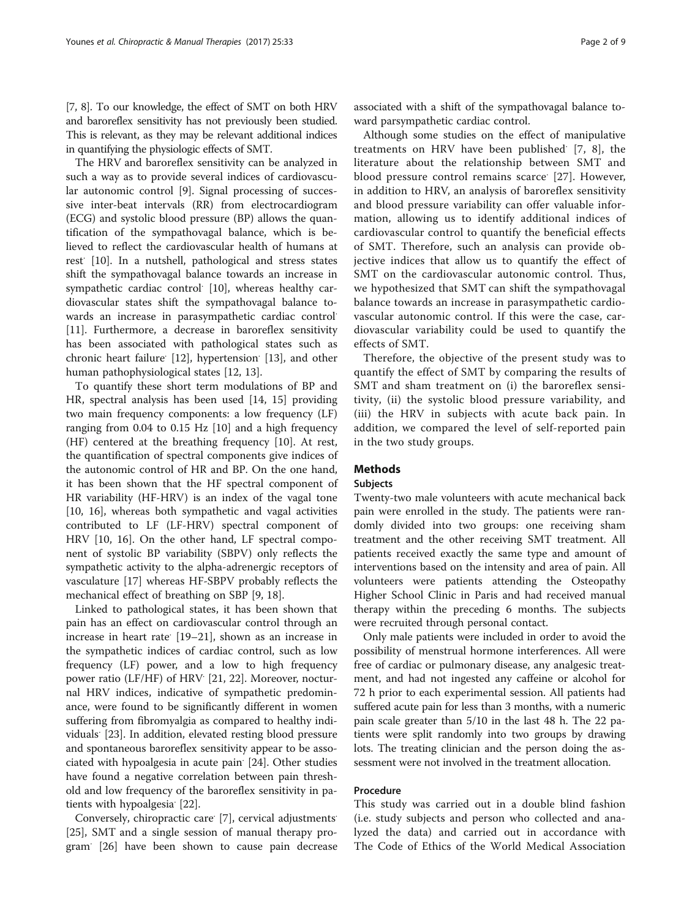[[7](#page-7-0), [8](#page-7-0)]. To our knowledge, the effect of SMT on both HRV and baroreflex sensitivity has not previously been studied. This is relevant, as they may be relevant additional indices in quantifying the physiologic effects of SMT.

The HRV and baroreflex sensitivity can be analyzed in such a way as to provide several indices of cardiovascular autonomic control [\[9\]](#page-7-0). Signal processing of successive inter-beat intervals (RR) from electrocardiogram (ECG) and systolic blood pressure (BP) allows the quantification of the sympathovagal balance, which is believed to reflect the cardiovascular health of humans at rest. [[10\]](#page-7-0). In a nutshell, pathological and stress states shift the sympathovagal balance towards an increase in sympathetic cardiac control<sup>.</sup> [[10\]](#page-7-0), whereas healthy cardiovascular states shift the sympathovagal balance towards an increase in parasympathetic cardiac control<sup>.</sup> [[11\]](#page-7-0). Furthermore, a decrease in baroreflex sensitivity has been associated with pathological states such as chronic heart failure. [[12](#page-7-0)], hypertension. [\[13\]](#page-7-0), and other human pathophysiological states [[12, 13\]](#page-7-0).

To quantify these short term modulations of BP and HR, spectral analysis has been used [[14](#page-7-0), [15\]](#page-7-0) providing two main frequency components: a low frequency (LF) ranging from 0.04 to 0.15 Hz [[10\]](#page-7-0) and a high frequency (HF) centered at the breathing frequency [\[10](#page-7-0)]. At rest, the quantification of spectral components give indices of the autonomic control of HR and BP. On the one hand, it has been shown that the HF spectral component of HR variability (HF-HRV) is an index of the vagal tone [[10, 16](#page-7-0)], whereas both sympathetic and vagal activities contributed to LF (LF-HRV) spectral component of HRV [\[10](#page-7-0), [16\]](#page-7-0). On the other hand, LF spectral component of systolic BP variability (SBPV) only reflects the sympathetic activity to the alpha-adrenergic receptors of vasculature [\[17](#page-7-0)] whereas HF-SBPV probably reflects the mechanical effect of breathing on SBP [[9, 18\]](#page-7-0).

Linked to pathological states, it has been shown that pain has an effect on cardiovascular control through an increase in heart rate.  $[19-21]$  $[19-21]$  $[19-21]$  $[19-21]$  $[19-21]$ , shown as an increase in the sympathetic indices of cardiac control, such as low frequency (LF) power, and a low to high frequency power ratio (LF/HF) of HRV [\[21](#page-7-0), [22](#page-7-0)]. Moreover, nocturnal HRV indices, indicative of sympathetic predominance, were found to be significantly different in women suffering from fibromyalgia as compared to healthy individuals. [\[23\]](#page-8-0). In addition, elevated resting blood pressure and spontaneous baroreflex sensitivity appear to be associated with hypoalgesia in acute pain. [[24](#page-8-0)]. Other studies have found a negative correlation between pain threshold and low frequency of the baroreflex sensitivity in patients with hypoalgesia. [[22](#page-7-0)].

Conversely, chiropractic care [[7\]](#page-7-0), cervical adjustments<sup>.</sup> [[25\]](#page-8-0), SMT and a single session of manual therapy program. [\[26](#page-8-0)] have been shown to cause pain decrease associated with a shift of the sympathovagal balance toward parsympathetic cardiac control.

Although some studies on the effect of manipulative treatments on HRV have been published. [\[7](#page-7-0), [8\]](#page-7-0), the literature about the relationship between SMT and blood pressure control remains scarce<sup>[[27\]](#page-8-0)</sup>. However, in addition to HRV, an analysis of baroreflex sensitivity and blood pressure variability can offer valuable information, allowing us to identify additional indices of cardiovascular control to quantify the beneficial effects of SMT. Therefore, such an analysis can provide objective indices that allow us to quantify the effect of SMT on the cardiovascular autonomic control. Thus, we hypothesized that SMT can shift the sympathovagal balance towards an increase in parasympathetic cardiovascular autonomic control. If this were the case, cardiovascular variability could be used to quantify the effects of SMT.

Therefore, the objective of the present study was to quantify the effect of SMT by comparing the results of SMT and sham treatment on (i) the baroreflex sensitivity, (ii) the systolic blood pressure variability, and (iii) the HRV in subjects with acute back pain. In addition, we compared the level of self-reported pain in the two study groups.

# **Methods**

# Subjects

Twenty-two male volunteers with acute mechanical back pain were enrolled in the study. The patients were randomly divided into two groups: one receiving sham treatment and the other receiving SMT treatment. All patients received exactly the same type and amount of interventions based on the intensity and area of pain. All volunteers were patients attending the Osteopathy Higher School Clinic in Paris and had received manual therapy within the preceding 6 months. The subjects were recruited through personal contact.

Only male patients were included in order to avoid the possibility of menstrual hormone interferences. All were free of cardiac or pulmonary disease, any analgesic treatment, and had not ingested any caffeine or alcohol for 72 h prior to each experimental session. All patients had suffered acute pain for less than 3 months, with a numeric pain scale greater than 5/10 in the last 48 h. The 22 patients were split randomly into two groups by drawing lots. The treating clinician and the person doing the assessment were not involved in the treatment allocation.

# Procedure

This study was carried out in a double blind fashion (i.e. study subjects and person who collected and analyzed the data) and carried out in accordance with The Code of Ethics of the World Medical Association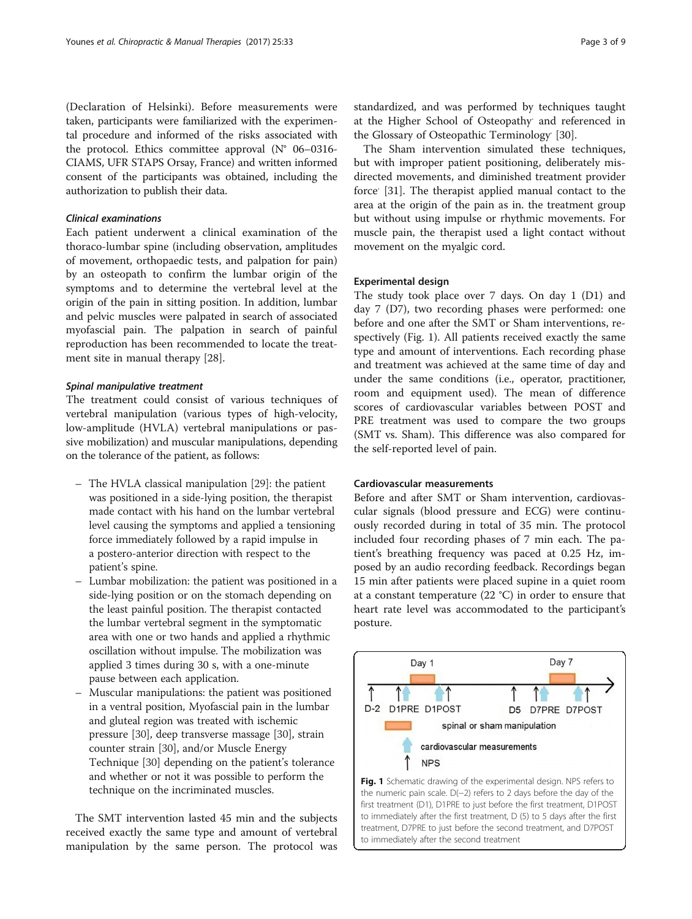<span id="page-2-0"></span>(Declaration of Helsinki). Before measurements were taken, participants were familiarized with the experimental procedure and informed of the risks associated with the protocol. Ethics committee approval (N° 06–0316- CIAMS, UFR STAPS Orsay, France) and written informed consent of the participants was obtained, including the authorization to publish their data.

# Clinical examinations

Each patient underwent a clinical examination of the thoraco-lumbar spine (including observation, amplitudes of movement, orthopaedic tests, and palpation for pain) by an osteopath to confirm the lumbar origin of the symptoms and to determine the vertebral level at the origin of the pain in sitting position. In addition, lumbar and pelvic muscles were palpated in search of associated myofascial pain. The palpation in search of painful reproduction has been recommended to locate the treatment site in manual therapy [[28](#page-8-0)].

# Spinal manipulative treatment

The treatment could consist of various techniques of vertebral manipulation (various types of high-velocity, low-amplitude (HVLA) vertebral manipulations or passive mobilization) and muscular manipulations, depending on the tolerance of the patient, as follows:

- The HVLA classical manipulation [[29\]](#page-8-0): the patient was positioned in a side-lying position, the therapist made contact with his hand on the lumbar vertebral level causing the symptoms and applied a tensioning force immediately followed by a rapid impulse in a postero-anterior direction with respect to the patient's spine.
- Lumbar mobilization: the patient was positioned in a side-lying position or on the stomach depending on the least painful position. The therapist contacted the lumbar vertebral segment in the symptomatic area with one or two hands and applied a rhythmic oscillation without impulse. The mobilization was applied 3 times during 30 s, with a one-minute pause between each application.
- Muscular manipulations: the patient was positioned in a ventral position, Myofascial pain in the lumbar and gluteal region was treated with ischemic pressure [\[30\]](#page-8-0), deep transverse massage [[30](#page-8-0)], strain counter strain [\[30\]](#page-8-0), and/or Muscle Energy Technique [[30](#page-8-0)] depending on the patient's tolerance and whether or not it was possible to perform the technique on the incriminated muscles.

The SMT intervention lasted 45 min and the subjects received exactly the same type and amount of vertebral manipulation by the same person. The protocol was standardized, and was performed by techniques taught at the Higher School of Osteopathy. and referenced in the Glossary of Osteopathic Terminology. [[30](#page-8-0)].

The Sham intervention simulated these techniques, but with improper patient positioning, deliberately misdirected movements, and diminished treatment provider force. [[31\]](#page-8-0). The therapist applied manual contact to the area at the origin of the pain as in. the treatment group but without using impulse or rhythmic movements. For muscle pain, the therapist used a light contact without movement on the myalgic cord.

# Experimental design

The study took place over 7 days. On day 1 (D1) and day 7 (D7), two recording phases were performed: one before and one after the SMT or Sham interventions, respectively (Fig. 1). All patients received exactly the same type and amount of interventions. Each recording phase and treatment was achieved at the same time of day and under the same conditions (i.e., operator, practitioner, room and equipment used). The mean of difference scores of cardiovascular variables between POST and PRE treatment was used to compare the two groups (SMT vs. Sham). This difference was also compared for the self-reported level of pain.

# Cardiovascular measurements

Before and after SMT or Sham intervention, cardiovascular signals (blood pressure and ECG) were continuously recorded during in total of 35 min. The protocol included four recording phases of 7 min each. The patient's breathing frequency was paced at 0.25 Hz, imposed by an audio recording feedback. Recordings began 15 min after patients were placed supine in a quiet room at a constant temperature (22 °C) in order to ensure that heart rate level was accommodated to the participant's posture.



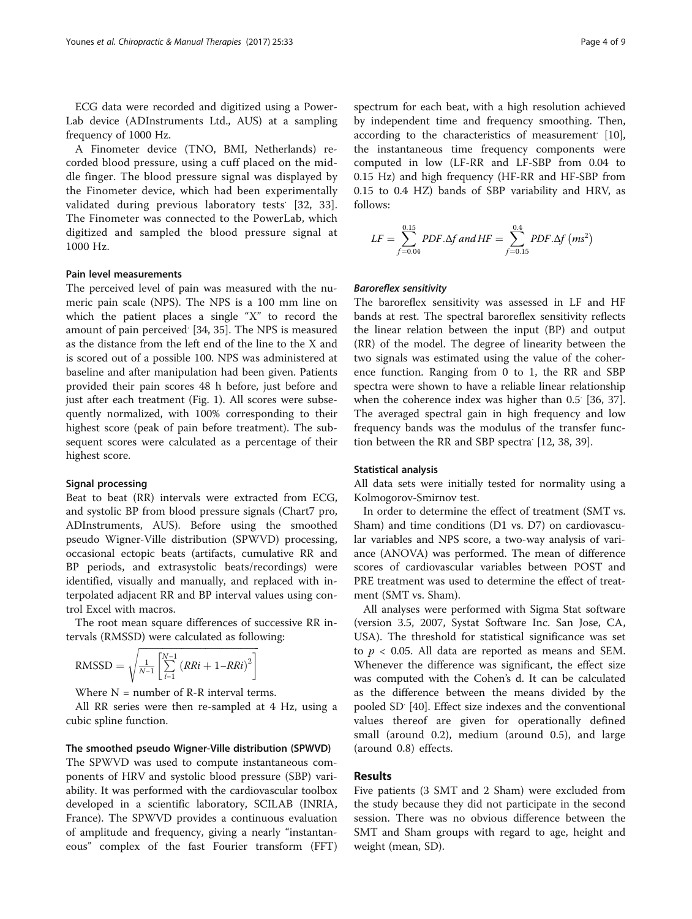ECG data were recorded and digitized using a Power-Lab device (ADInstruments Ltd., AUS) at a sampling frequency of 1000 Hz.

A Finometer device (TNO, BMI, Netherlands) recorded blood pressure, using a cuff placed on the middle finger. The blood pressure signal was displayed by the Finometer device, which had been experimentally validated during previous laboratory tests: [\[32](#page-8-0), [33](#page-8-0)]. The Finometer was connected to the PowerLab, which digitized and sampled the blood pressure signal at 1000 Hz.

# Pain level measurements

The perceived level of pain was measured with the numeric pain scale (NPS). The NPS is a 100 mm line on which the patient places a single "X" to record the amount of pain perceived [[34, 35\]](#page-8-0). The NPS is measured as the distance from the left end of the line to the X and is scored out of a possible 100. NPS was administered at baseline and after manipulation had been given. Patients provided their pain scores 48 h before, just before and just after each treatment (Fig. [1\)](#page-2-0). All scores were subsequently normalized, with 100% corresponding to their highest score (peak of pain before treatment). The subsequent scores were calculated as a percentage of their highest score.

# Signal processing

Beat to beat (RR) intervals were extracted from ECG, and systolic BP from blood pressure signals (Chart7 pro, ADInstruments, AUS). Before using the smoothed pseudo Wigner-Ville distribution (SPWVD) processing, occasional ectopic beats (artifacts, cumulative RR and BP periods, and extrasystolic beats/recordings) were identified, visually and manually, and replaced with interpolated adjacent RR and BP interval values using control Excel with macros.

The root mean square differences of successive RR intervals (RMSSD) were calculated as following:<br> $\sqrt{1+\frac{1}{2}(\mathbf{f}(\mathbf{f}(\mathbf{f}(\mathbf{f}(\mathbf{f}(\mathbf{f}(\mathbf{f}(\mathbf{f}(\mathbf{f}(\mathbf{f}(\mathbf{f}(\mathbf{f}(\mathbf{f}(\mathbf{f}(\mathbf{f}(\mathbf{f}(\mathbf{f}(\mathbf{f}(\mathbf{f}(\mathbf{f}(\mathbf{f}(\mathbf{f}(\mathbf{f}(\mathbf{f}(\mathbf{f}(\mathbf{f}(\mathbf{f}(\$ 

$$
RMSSD = \sqrt{\frac{1}{N-1} \left[ \sum_{i=1}^{N-1} (RRi + 1 - RRi)^2 \right]}
$$

Where  $N =$  number of R-R interval terms.

All RR series were then re-sampled at 4 Hz, using a cubic spline function.

#### The smoothed pseudo Wigner-Ville distribution (SPWVD)

The SPWVD was used to compute instantaneous components of HRV and systolic blood pressure (SBP) variability. It was performed with the cardiovascular toolbox developed in a scientific laboratory, SCILAB (INRIA, France). The SPWVD provides a continuous evaluation of amplitude and frequency, giving a nearly "instantaneous" complex of the fast Fourier transform (FFT)

spectrum for each beat, with a high resolution achieved by independent time and frequency smoothing. Then, according to the characteristics of measurement [\[10](#page-7-0)], the instantaneous time frequency components were computed in low (LF-RR and LF-SBP from 0.04 to 0.15 Hz) and high frequency (HF-RR and HF-SBP from 0.15 to 0.4 HZ) bands of SBP variability and HRV, as follows:

$$
LF = \sum_{f=0.04}^{0.15} PDF.\Delta f \, and \, HF = \sum_{f=0.15}^{0.4} PDF.\Delta f \, (ms^2)
$$

# Baroreflex sensitivity

The baroreflex sensitivity was assessed in LF and HF bands at rest. The spectral baroreflex sensitivity reflects the linear relation between the input (BP) and output (RR) of the model. The degree of linearity between the two signals was estimated using the value of the coherence function. Ranging from 0 to 1, the RR and SBP spectra were shown to have a reliable linear relationship when the coherence index was higher than 0.5 [[36, 37](#page-8-0)]. The averaged spectral gain in high frequency and low frequency bands was the modulus of the transfer func-tion between the RR and SBP spectra [[12](#page-7-0), [38](#page-8-0), [39](#page-8-0)].

# Statistical analysis

All data sets were initially tested for normality using a Kolmogorov-Smirnov test.

In order to determine the effect of treatment (SMT vs. Sham) and time conditions (D1 vs. D7) on cardiovascular variables and NPS score, a two-way analysis of variance (ANOVA) was performed. The mean of difference scores of cardiovascular variables between POST and PRE treatment was used to determine the effect of treatment (SMT vs. Sham).

All analyses were performed with Sigma Stat software (version 3.5, 2007, Systat Software Inc. San Jose, CA, USA). The threshold for statistical significance was set to  $p < 0.05$ . All data are reported as means and SEM. Whenever the difference was significant, the effect size was computed with the Cohen's d. It can be calculated as the difference between the means divided by the pooled SD<sup>.</sup> [\[40](#page-8-0)]. Effect size indexes and the conventional values thereof are given for operationally defined small (around 0.2), medium (around 0.5), and large (around 0.8) effects.

# Results

Five patients (3 SMT and 2 Sham) were excluded from the study because they did not participate in the second session. There was no obvious difference between the SMT and Sham groups with regard to age, height and weight (mean, SD).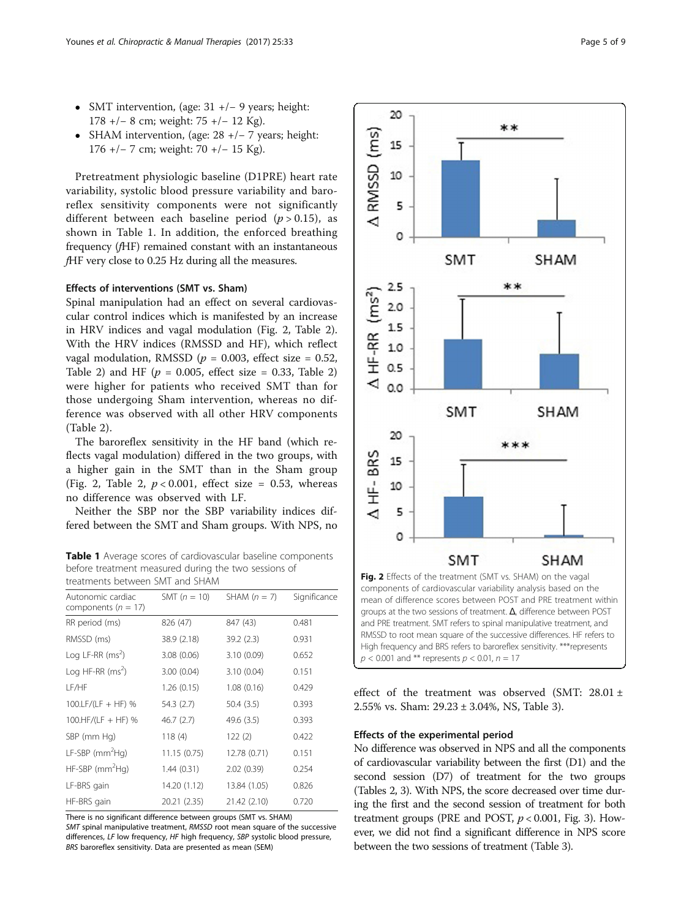- <span id="page-4-0"></span>- SMT intervention, (age: 31 +/− 9 years; height: 178 +/− 8 cm; weight: 75 +/− 12 Kg).
- SHAM intervention, (age: 28 +/− 7 years; height: 176 +/− 7 cm; weight: 70 +/− 15 Kg).

Pretreatment physiologic baseline (D1PRE) heart rate variability, systolic blood pressure variability and baroreflex sensitivity components were not significantly different between each baseline period  $(p > 0.15)$ , as shown in Table 1. In addition, the enforced breathing frequency (fHF) remained constant with an instantaneous fHF very close to 0.25 Hz during all the measures.

# Effects of interventions (SMT vs. Sham)

Spinal manipulation had an effect on several cardiovascular control indices which is manifested by an increase in HRV indices and vagal modulation (Fig. 2, Table [2](#page-5-0)). With the HRV indices (RMSSD and HF), which reflect vagal modulation, RMSSD ( $p = 0.003$ , effect size = 0.52, Table [2\)](#page-5-0) and HF ( $p = 0.005$ , effect size = 0.33, Table [2](#page-5-0)) were higher for patients who received SMT than for those undergoing Sham intervention, whereas no difference was observed with all other HRV components (Table [2\)](#page-5-0).

The baroreflex sensitivity in the HF band (which reflects vagal modulation) differed in the two groups, with a higher gain in the SMT than in the Sham group (Fig. [2,](#page-5-0) Table 2,  $p < 0.001$ , effect size = 0.53, whereas no difference was observed with LF.

Neither the SBP nor the SBP variability indices differed between the SMT and Sham groups. With NPS, no

Table 1 Average scores of cardiovascular baseline components before treatment measured during the two sessions of treatments between SMT and SHAM

| Autonomic cardiac<br>components ( $n = 17$ ) | SMT $(n = 10)$ | SHAM $(n = 7)$ | Significance |
|----------------------------------------------|----------------|----------------|--------------|
| RR period (ms)                               | 826 (47)       | 847 (43)       | 0.481        |
| RMSSD (ms)                                   | 38.9 (2.18)    | 39.2(2.3)      | 0.931        |
| Log LF-RR $(ms^2)$                           | 3.08(0.06)     | 3.10(0.09)     | 0.652        |
| Log HF-RR (ms <sup>2</sup> )                 | 3.00(0.04)     | 3.10(0.04)     | 0.151        |
| LF/HF                                        | 1.26(0.15)     | 1.08(0.16)     | 0.429        |
| 100.LF/(LF + HF) %                           | 54.3 (2.7)     | 50.4(3.5)      | 0.393        |
| 100.HF/(LF + HF) %                           | 46.7(2.7)      | 49.6 (3.5)     | 0.393        |
| SBP (mm Hg)                                  | 118(4)         | 122(2)         | 0.422        |
| $LF-SBP$ (mm <sup>2</sup> Hg)                | 11.15 (0.75)   | 12.78 (0.71)   | 0.151        |
| HF-SBP (mm <sup>2</sup> Hg)                  | 1.44(0.31)     | 2.02(0.39)     | 0.254        |
| LF-BRS gain                                  | 14.20 (1.12)   | 13.84 (1.05)   | 0.826        |
| HF-BRS gain                                  | 20.21 (2.35)   | 21.42 (2.10)   | 0.720        |

There is no significant difference between groups (SMT vs. SHAM) SMT spinal manipulative treatment, RMSSD root mean square of the successive differences, LF low frequency, HF high frequency, SBP systolic blood pressure, BRS baroreflex sensitivity. Data are presented as mean (SEM)



components of cardiovascular variability analysis based on the mean of difference scores between POST and PRE treatment within groups at the two sessions of treatment. Δ, difference between POST and PRE treatment. SMT refers to spinal manipulative treatment, and RMSSD to root mean square of the successive differences. HF refers to High frequency and BRS refers to baroreflex sensitivity. \*\*\*represents  $p < 0.001$  and \*\* represents  $p < 0.01$ ,  $n = 17$ 

effect of the treatment was observed (SMT:  $28.01 \pm$ 2.55% vs. Sham: 29.23 ± 3.04%, NS, Table [3](#page-5-0)).

# Effects of the experimental period

No difference was observed in NPS and all the components of cardiovascular variability between the first (D1) and the second session (D7) of treatment for the two groups (Tables [2](#page-5-0), [3](#page-5-0)). With NPS, the score decreased over time during the first and the second session of treatment for both treatment groups (PRE and POST,  $p < 0.001$ , Fig. [3\)](#page-6-0). However, we did not find a significant difference in NPS score between the two sessions of treatment (Table [3](#page-5-0)).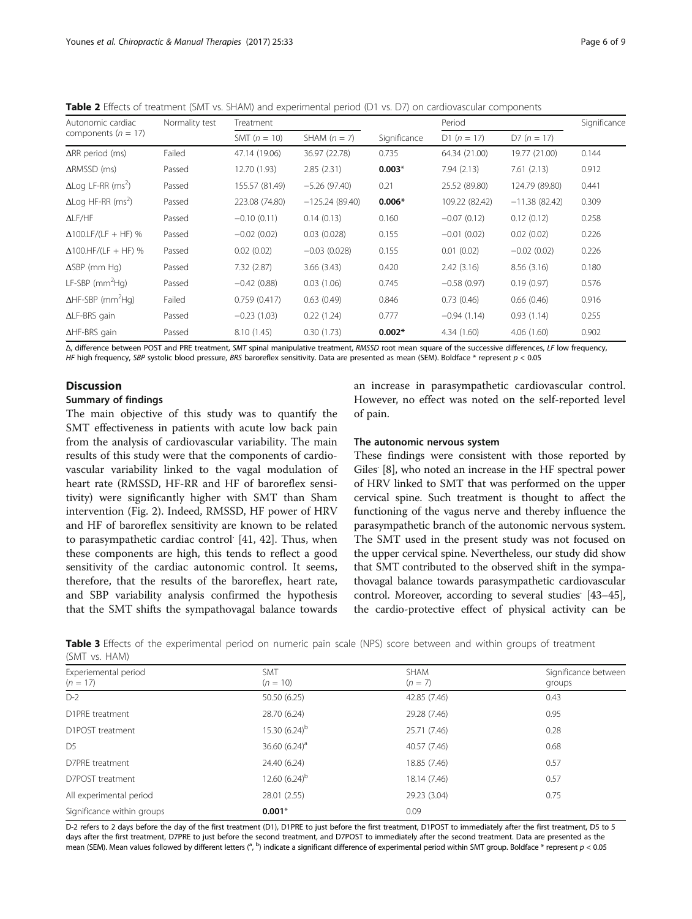<span id="page-5-0"></span>Table 2 Effects of treatment (SMT vs. SHAM) and experimental period (D1 vs. D7) on cardiovascular components

| Autonomic cardiac                     | Normality test | Treatment      |                  |              | Period         |                 | Significance |
|---------------------------------------|----------------|----------------|------------------|--------------|----------------|-----------------|--------------|
| components ( $n = 17$ )               |                | SMT $(n = 10)$ | SHAM $(n = 7)$   | Significance | D1 $(n = 17)$  | D7 $(n = 17)$   |              |
| $\Delta$ RR period (ms)               | Failed         | 47.14 (19.06)  | 36.97 (22.78)    | 0.735        | 64.34 (21.00)  | 19.77 (21.00)   | 0.144        |
| $\Delta$ RMSSD (ms)                   | Passed         | 12.70 (1.93)   | 2.85(2.31)       | $0.003*$     | 7.94(2.13)     | 7.61(2.13)      | 0.912        |
| $\Delta$ Log LF-RR (ms <sup>2</sup> ) | Passed         | 155.57 (81.49) | $-5.26(97.40)$   | 0.21         | 25.52 (89.80)  | 124.79 (89.80)  | 0.441        |
| $\Delta$ Log HF-RR (ms <sup>2</sup> ) | Passed         | 223.08 (74.80) | $-125.24(89.40)$ | $0.006*$     | 109.22 (82.42) | $-11.38(82.42)$ | 0.309        |
| $\Delta$ LF/HF                        | Passed         | $-0.10(0.11)$  | 0.14(0.13)       | 0.160        | $-0.07(0.12)$  | 0.12(0.12)      | 0.258        |
| $\Delta$ 100.LF/(LF + HF) %           | Passed         | $-0.02(0.02)$  | 0.03(0.028)      | 0.155        | $-0.01(0.02)$  | 0.02(0.02)      | 0.226        |
| $\Delta$ 100.HF/(LF + HF) %           | Passed         | 0.02(0.02)     | $-0.03(0.028)$   | 0.155        | 0.01(0.02)     | $-0.02(0.02)$   | 0.226        |
| $\Delta$ SBP (mm Hg)                  | Passed         | 7.32(2.87)     | 3.66(3.43)       | 0.420        | 2.42(3.16)     | 8.56(3.16)      | 0.180        |
| $LF-SBP$ (mm <sup>2</sup> Hg)         | Passed         | $-0.42(0.88)$  | 0.03(1.06)       | 0.745        | $-0.58(0.97)$  | 0.19(0.97)      | 0.576        |
| $\Delta$ HF-SBP (mm <sup>2</sup> Hg)  | Failed         | 0.759(0.417)   | 0.63(0.49)       | 0.846        | 0.73(0.46)     | 0.66(0.46)      | 0.916        |
| $\Delta$ LF-BRS gain                  | Passed         | $-0.23(1.03)$  | 0.22(1.24)       | 0.777        | $-0.94(1.14)$  | 0.93(1.14)      | 0.255        |
| $\Delta$ HF-BRS gain                  | Passed         | 8.10(1.45)     | 0.30(1.73)       | $0.002*$     | 4.34(1.60)     | 4.06(1.60)      | 0.902        |

Δ, difference between POST and PRE treatment, SMT spinal manipulative treatment, RMSSD root mean square of the successive differences, LF low frequency, HF high frequency, SBP systolic blood pressure, BRS baroreflex sensitivity. Data are presented as mean (SEM). Boldface \* represent  $p < 0.05$ 

# **Discussion**

# Summary of findings

The main objective of this study was to quantify the SMT effectiveness in patients with acute low back pain from the analysis of cardiovascular variability. The main results of this study were that the components of cardiovascular variability linked to the vagal modulation of heart rate (RMSSD, HF-RR and HF of baroreflex sensitivity) were significantly higher with SMT than Sham intervention (Fig. [2\)](#page-4-0). Indeed, RMSSD, HF power of HRV and HF of baroreflex sensitivity are known to be related to parasympathetic cardiac control. [\[41](#page-8-0), [42](#page-8-0)]. Thus, when these components are high, this tends to reflect a good sensitivity of the cardiac autonomic control. It seems, therefore, that the results of the baroreflex, heart rate, and SBP variability analysis confirmed the hypothesis that the SMT shifts the sympathovagal balance towards

an increase in parasympathetic cardiovascular control. However, no effect was noted on the self-reported level of pain.

# The autonomic nervous system

These findings were consistent with those reported by Giles<sup>[\[8](#page-7-0)]</sup>, who noted an increase in the HF spectral power of HRV linked to SMT that was performed on the upper cervical spine. Such treatment is thought to affect the functioning of the vagus nerve and thereby influence the parasympathetic branch of the autonomic nervous system. The SMT used in the present study was not focused on the upper cervical spine. Nevertheless, our study did show that SMT contributed to the observed shift in the sympathovagal balance towards parasympathetic cardiovascular control. Moreover, according to several studies<sup>[\[43](#page-8-0)-[45](#page-8-0)]</sup>, the cardio-protective effect of physical activity can be

Table 3 Effects of the experimental period on numeric pain scale (NPS) score between and within groups of treatment (SMT vs. HAM)

| Experiemental period       | <b>SMT</b>         | <b>SHAM</b>  | Significance between |
|----------------------------|--------------------|--------------|----------------------|
| $(n = 17)$                 | $(n = 10)$         | $(n = 7)$    | groups               |
| $D-2$                      | 50.50 (6.25)       | 42.85 (7.46) | 0.43                 |
| D1PRF treatment            | 28.70 (6.24)       | 29.28 (7.46) | 0.95                 |
| D1POST treatment           | 15.30 $(6.24)^b$   | 25.71 (7.46) | 0.28                 |
| D <sub>5</sub>             | 36.60 $(6.24)^a$   | 40.57 (7.46) | 0.68                 |
| D7PRF treatment            | 24.40 (6.24)       | 18.85 (7.46) | 0.57                 |
| D7POST treatment           | 12.60 $(6.24)^{b}$ | 18.14 (7.46) | 0.57                 |
| All experimental period    | 28.01 (2.55)       | 29.23 (3.04) | 0.75                 |
| Significance within groups | $0.001*$           | 0.09         |                      |

D-2 refers to 2 days before the day of the first treatment (D1), D1PRE to just before the first treatment, D1POST to immediately after the first treatment, D5 to 5 days after the first treatment, D7PRE to just before the second treatment, and D7POST to immediately after the second treatment. Data are presented as the mean (SEM). Mean values followed by different letters (<sup>a</sup>, <sup>b</sup>) indicate a significant difference of experimental period within SMT group. Boldface \* represent *p <* 0.05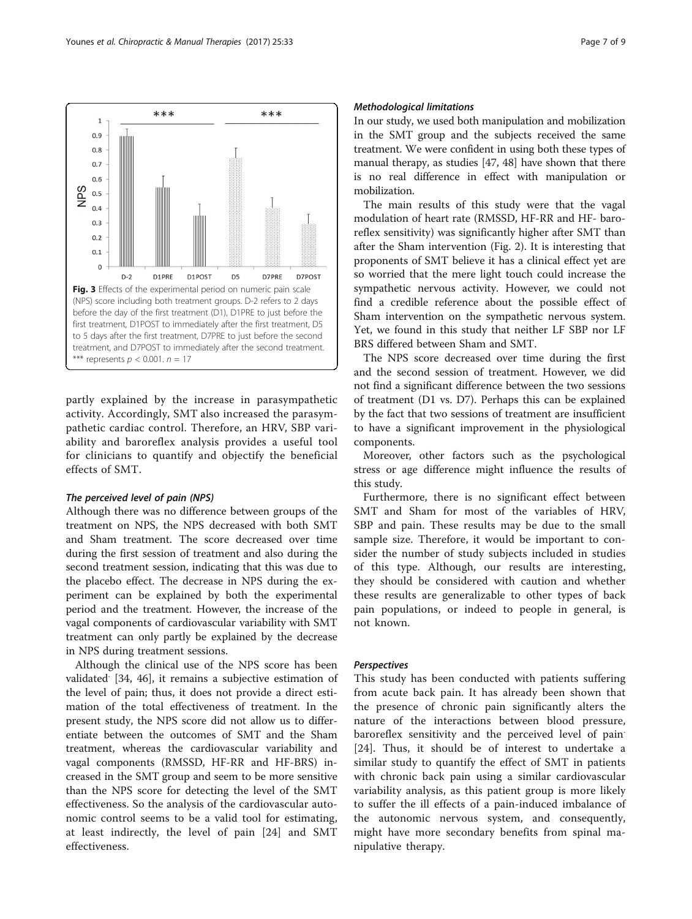<span id="page-6-0"></span>

partly explained by the increase in parasympathetic activity. Accordingly, SMT also increased the parasympathetic cardiac control. Therefore, an HRV, SBP variability and baroreflex analysis provides a useful tool for clinicians to quantify and objectify the beneficial effects of SMT.

# The perceived level of pain (NPS)

Although there was no difference between groups of the treatment on NPS, the NPS decreased with both SMT and Sham treatment. The score decreased over time during the first session of treatment and also during the second treatment session, indicating that this was due to the placebo effect. The decrease in NPS during the experiment can be explained by both the experimental period and the treatment. However, the increase of the vagal components of cardiovascular variability with SMT treatment can only partly be explained by the decrease in NPS during treatment sessions.

Although the clinical use of the NPS score has been validated. [[34, 46\]](#page-8-0), it remains a subjective estimation of the level of pain; thus, it does not provide a direct estimation of the total effectiveness of treatment. In the present study, the NPS score did not allow us to differentiate between the outcomes of SMT and the Sham treatment, whereas the cardiovascular variability and vagal components (RMSSD, HF-RR and HF-BRS) increased in the SMT group and seem to be more sensitive than the NPS score for detecting the level of the SMT effectiveness. So the analysis of the cardiovascular autonomic control seems to be a valid tool for estimating, at least indirectly, the level of pain [[24\]](#page-8-0) and SMT effectiveness.

# Methodological limitations

In our study, we used both manipulation and mobilization in the SMT group and the subjects received the same treatment. We were confident in using both these types of manual therapy, as studies [[47, 48](#page-8-0)] have shown that there is no real difference in effect with manipulation or mobilization.

The main results of this study were that the vagal modulation of heart rate (RMSSD, HF-RR and HF- baroreflex sensitivity) was significantly higher after SMT than after the Sham intervention (Fig. [2](#page-4-0)). It is interesting that proponents of SMT believe it has a clinical effect yet are so worried that the mere light touch could increase the sympathetic nervous activity. However, we could not find a credible reference about the possible effect of Sham intervention on the sympathetic nervous system. Yet, we found in this study that neither LF SBP nor LF BRS differed between Sham and SMT.

The NPS score decreased over time during the first and the second session of treatment. However, we did not find a significant difference between the two sessions of treatment (D1 vs. D7). Perhaps this can be explained by the fact that two sessions of treatment are insufficient to have a significant improvement in the physiological components.

Moreover, other factors such as the psychological stress or age difference might influence the results of this study.

Furthermore, there is no significant effect between SMT and Sham for most of the variables of HRV, SBP and pain. These results may be due to the small sample size. Therefore, it would be important to consider the number of study subjects included in studies of this type. Although, our results are interesting, they should be considered with caution and whether these results are generalizable to other types of back pain populations, or indeed to people in general, is not known.

# Perspectives

This study has been conducted with patients suffering from acute back pain. It has already been shown that the presence of chronic pain significantly alters the nature of the interactions between blood pressure, baroreflex sensitivity and the perceived level of pain. [[24\]](#page-8-0). Thus, it should be of interest to undertake a similar study to quantify the effect of SMT in patients with chronic back pain using a similar cardiovascular variability analysis, as this patient group is more likely to suffer the ill effects of a pain-induced imbalance of the autonomic nervous system, and consequently, might have more secondary benefits from spinal manipulative therapy.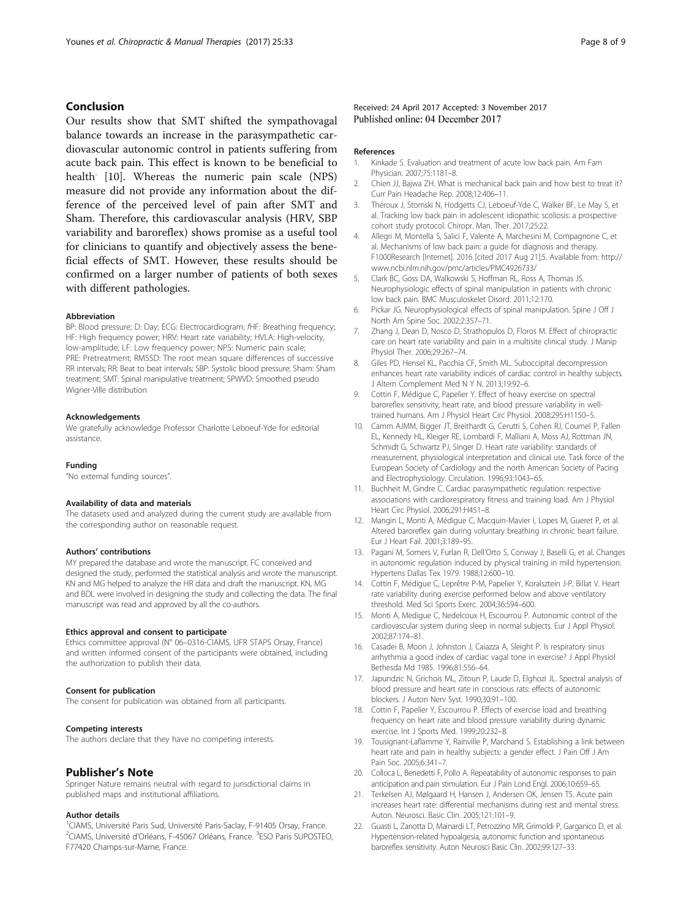# <span id="page-7-0"></span>Conclusion

Our results show that SMT shifted the sympathovagal balance towards an increase in the parasympathetic cardiovascular autonomic control in patients suffering from acute back pain. This effect is known to be beneficial to health<sup>.</sup> [10]. Whereas the numeric pain scale (NPS) measure did not provide any information about the difference of the perceived level of pain after SMT and Sham. Therefore, this cardiovascular analysis (HRV, SBP variability and baroreflex) shows promise as a useful tool for clinicians to quantify and objectively assess the beneficial effects of SMT. However, these results should be confirmed on a larger number of patients of both sexes with different pathologies.

#### Abbreviation

BP: Blood pressure; D: Day; ECG: Electrocardiogram; fHF: Breathing frequency; HF: High frequency power; HRV: Heart rate variability; HVLA: High-velocity, low-amplitude; LF: Low frequency power; NPS: Numeric pain scale; PRE: Pretreatment; RMSSD: The root mean square differences of successive RR intervals; RR: Beat to beat intervals; SBP: Systolic blood pressure; Sham: Sham treatment; SMT: Spinal manipulative treatment; SPWVD: Smoothed pseudo Wigner-Ville distribution

#### Acknowledgements

We gratefully acknowledge Professor Charlotte Leboeuf-Yde for editorial assistance.

#### Funding

"No external funding sources".

# Availability of data and materials

The datasets used and analyzed during the current study are available from the corresponding author on reasonable request.

## Authors' contributions

MY prepared the database and wrote the manuscript. FC conceived and designed the study, performed the statistical analysis and wrote the manuscript. KN and MG helped to analyze the HR data and draft the manuscript. KN, MG and BDL were involved in designing the study and collecting the data. The final manuscript was read and approved by all the co-authors.

#### Ethics approval and consent to participate

Ethics committee approval (N° 06–0316-CIAMS, UFR STAPS Orsay, France) and written informed consent of the participants were obtained, including the authorization to publish their data.

#### Consent for publication

The consent for publication was obtained from all participants.

## Competing interests

The authors declare that they have no competing interests.

# Publisher's Note

Springer Nature remains neutral with regard to jurisdictional claims in published maps and institutional affiliations.

#### Author details

<sup>1</sup>CIAMS, Université Paris Sud, Université Paris-Saclay, F-91405 Orsay, France. <sup>2</sup>CIAMS, Université d'Orléans, F-45067 Orléans, France. <sup>3</sup>ESO Paris SUPOSTEO, F77420 Champs-sur-Marne, France.

#### References

- 1. Kinkade S. Evaluation and treatment of acute low back pain. Am Fam Physician. 2007;75:1181–8.
- 2. Chien JJ, Bajwa ZH. What is mechanical back pain and how best to treat it? Curr Pain Headache Rep. 2008;12:406–11.
- 3. Théroux J, Stomski N, Hodgetts CJ, Leboeuf-Yde C, Walker BF, Le May S, et al. Tracking low back pain in adolescent idiopathic scoliosis: a prospective cohort study protocol. Chiropr. Man. Ther. 2017;25:22.
- 4. Allegri M, Montella S, Salici F, Valente A, Marchesini M, Compagnone C, et al. Mechanisms of low back pain: a guide for diagnosis and therapy. F1000Research [Internet]. 2016 [cited 2017 Aug 21];5. Available from: [http://](http://www.ncbi.nlm.nih.gov/pmc/articles/PMC4926733/) [www.ncbi.nlm.nih.gov/pmc/articles/PMC4926733/](http://www.ncbi.nlm.nih.gov/pmc/articles/PMC4926733/)
- 5. Clark BC, Goss DA, Walkowski S, Hoffman RL, Ross A, Thomas JS. Neurophysiologic effects of spinal manipulation in patients with chronic low back pain. BMC Musculoskelet Disord. 2011;12:170.
- 6. Pickar JG. Neurophysiological effects of spinal manipulation. Spine J Off J North Am Spine Soc. 2002;2:357–71.
- 7. Zhang J, Dean D, Nosco D, Strathopulos D, Floros M. Effect of chiropractic care on heart rate variability and pain in a multisite clinical study. J Manip Physiol Ther. 2006;29:267–74.
- 8. Giles PD, Hensel KL, Pacchia CF, Smith ML. Suboccipital decompression enhances heart rate variability indices of cardiac control in healthy subjects. J Altern Complement Med N Y N. 2013;19:92–6.
- 9. Cottin F, Médigue C, Papelier Y. Effect of heavy exercise on spectral baroreflex sensitivity, heart rate, and blood pressure variability in welltrained humans. Am J Physiol Heart Circ Physiol. 2008;295:H1150–5.
- 10. Camm AJMM, Bigger JT, Breithardt G, Cerutti S, Cohen RJ, Coumel P, Fallen EL, Kennedy HL, Kleiger RE, Lombardi F, Malliani A, Moss AJ, Rottman JN, Schmidt G, Schwartz PJ, Singer D. Heart rate variability: standards of measurement, physiological interpretation and clinical use. Task force of the European Society of Cardiology and the north American Society of Pacing and Electrophysiology. Circulation. 1996;93:1043–65.
- 11. Buchheit M, Gindre C. Cardiac parasympathetic regulation: respective associations with cardiorespiratory fitness and training load. Am J Physiol Heart Circ Physiol. 2006;291:H451–8.
- 12. Mangin L, Monti A, Médigue C, Macquin-Mavier I, Lopes M, Gueret P, et al. Altered baroreflex gain during voluntary breathing in chronic heart failure. Eur J Heart Fail. 2001;3:189–95.
- 13. Pagani M, Somers V, Furlan R, Dell'Orto S, Conway J, Baselli G, et al. Changes in autonomic regulation induced by physical training in mild hypertension. Hypertens Dallas Tex 1979. 1988;12:600–10.
- 14. Cottin F, Médigue C, Leprêtre P-M, Papelier Y, Koralsztein J-P, Billat V. Heart rate variability during exercise performed below and above ventilatory threshold. Med Sci Sports Exerc. 2004;36:594–600.
- 15. Monti A, Medigue C, Nedelcoux H, Escourrou P. Autonomic control of the cardiovascular system during sleep in normal subjects. Eur J Appl Physiol. 2002;87:174–81.
- 16. Casadei B, Moon J, Johnston J, Caiazza A, Sleight P. Is respiratory sinus arrhythmia a good index of cardiac vagal tone in exercise? J Appl Physiol Bethesda Md 1985. 1996;81:556–64.
- 17. Japundzic N, Grichois ML, Zitoun P, Laude D, Elghozi JL. Spectral analysis of blood pressure and heart rate in conscious rats: effects of autonomic blockers. J Auton Nerv Syst. 1990;30:91–100.
- 18. Cottin F, Papelier Y, Escourrou P. Effects of exercise load and breathing frequency on heart rate and blood pressure variability during dynamic exercise. Int J Sports Med. 1999;20:232–8.
- 19. Tousignant-Laflamme Y, Rainville P, Marchand S. Establishing a link between heart rate and pain in healthy subjects: a gender effect. J Pain Off J Am Pain Soc. 2005;6:341–7.
- 20. Colloca L, Benedetti F, Pollo A. Repeatability of autonomic responses to pain anticipation and pain stimulation. Eur J Pain Lond Engl. 2006;10:659–65.
- 21. Terkelsen AJ, Mølgaard H, Hansen J, Andersen OK, Jensen TS. Acute pain increases heart rate: differential mechanisms during rest and mental stress. Auton. Neurosci. Basic Clin. 2005;121:101–9.
- 22. Guasti L, Zanotta D, Mainardi LT, Petrozzino MR, Grimoldi P, Garganico D, et al. Hypertension-related hypoalgesia, autonomic function and spontaneous baroreflex sensitivity. Auton Neurosci Basic Clin. 2002;99:127–33.